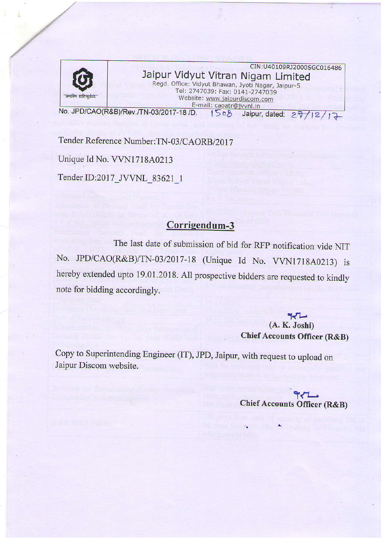

## . CIN:U40109RJ2000SGC016486 Jaipur Vidyut Vitran Nigam Limited Regd. Office: Vidyut Bhawan, Jyoti Nagar, Jaipur-5 Tel: 2747039: Fax: 0141-2747039 Website: www.jaipurdiscom.com E-mail: caoatr@jvvnl.in

No. JPD/CAO(R&B)/Rev./TN-03/2017-18 /D.  $\begin{array}{cc} 1508 & \text{Jaipur, dated:} \end{array}$ 

Tender Reference Number: TN-03/CAORB/2017 Unique Id No. VVN1718A0213 Tender ID:2017\_JVVNL\_83621\_1

## Corrigendum-3

The last date of submission of bid for RFP notification vide NIT No. JPD/CAO(R&B)/TN-03/2017-18 (Unique Id No. VVN1718A0213) is hereby extended upto 19.01.2018. All prospective bidders are requested to kindly note for bidding accordingly.

## $\sim$  $(A. K. Joshi)$ Chief Accounts Officer (R&B)

 $27/12/17$ 

Copy to Superintending Engineer (IT), JPD, Jaipur, with request to upload on Jaipur Discom website.

 $971$ Chief Accounts Officer (R&B)